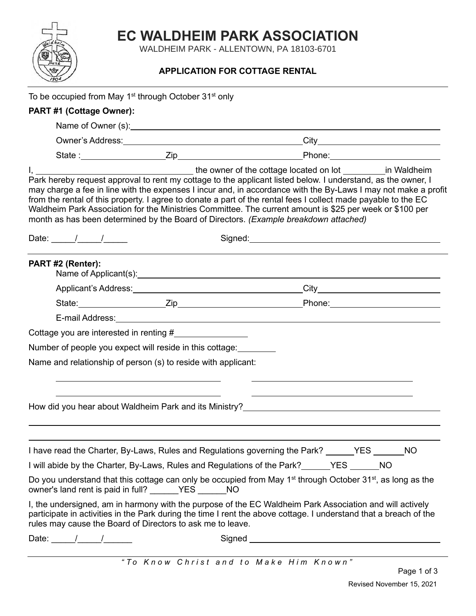## **EC WALDHEIM PARK ASSOCIATION**

WALDHEIM PARK - ALLENTOWN, PA 18103-6701

## **APPLICATION FOR COTTAGE RENTAL**

|                                                            | To be occupied from May 1 <sup>st</sup> through October 31 <sup>st</sup> only                                                                                                                                                        |                                                                                                                                                                                                                                                                                                                                                                                                                                                                                                                                                      |  |
|------------------------------------------------------------|--------------------------------------------------------------------------------------------------------------------------------------------------------------------------------------------------------------------------------------|------------------------------------------------------------------------------------------------------------------------------------------------------------------------------------------------------------------------------------------------------------------------------------------------------------------------------------------------------------------------------------------------------------------------------------------------------------------------------------------------------------------------------------------------------|--|
| PART #1 (Cottage Owner):                                   |                                                                                                                                                                                                                                      |                                                                                                                                                                                                                                                                                                                                                                                                                                                                                                                                                      |  |
|                                                            |                                                                                                                                                                                                                                      |                                                                                                                                                                                                                                                                                                                                                                                                                                                                                                                                                      |  |
|                                                            |                                                                                                                                                                                                                                      |                                                                                                                                                                                                                                                                                                                                                                                                                                                                                                                                                      |  |
|                                                            |                                                                                                                                                                                                                                      |                                                                                                                                                                                                                                                                                                                                                                                                                                                                                                                                                      |  |
|                                                            |                                                                                                                                                                                                                                      | Park hereby request approval to rent my cottage to the applicant listed below. I understand, as the owner, I<br>may charge a fee in line with the expenses I incur and, in accordance with the By-Laws I may not make a profit<br>from the rental of this property. I agree to donate a part of the rental fees I collect made payable to the EC<br>Waldheim Park Association for the Ministries Committee. The current amount is \$25 per week or \$100 per<br>month as has been determined by the Board of Directors. (Example breakdown attached) |  |
| Date: $\frac{1}{\sqrt{2\pi}}$                              |                                                                                                                                                                                                                                      |                                                                                                                                                                                                                                                                                                                                                                                                                                                                                                                                                      |  |
| PART #2 (Renter):                                          |                                                                                                                                                                                                                                      |                                                                                                                                                                                                                                                                                                                                                                                                                                                                                                                                                      |  |
|                                                            |                                                                                                                                                                                                                                      |                                                                                                                                                                                                                                                                                                                                                                                                                                                                                                                                                      |  |
|                                                            |                                                                                                                                                                                                                                      |                                                                                                                                                                                                                                                                                                                                                                                                                                                                                                                                                      |  |
|                                                            | E-mail Address: <u>Andreas Address and Address and Address and Address and Address and Address and Address and Address and Address and Address and Address and Address and Address and Address and Address and Address and Addre</u> |                                                                                                                                                                                                                                                                                                                                                                                                                                                                                                                                                      |  |
|                                                            | Cottage you are interested in renting #                                                                                                                                                                                              |                                                                                                                                                                                                                                                                                                                                                                                                                                                                                                                                                      |  |
|                                                            | Number of people you expect will reside in this cottage:                                                                                                                                                                             |                                                                                                                                                                                                                                                                                                                                                                                                                                                                                                                                                      |  |
|                                                            | Name and relationship of person (s) to reside with applicant:                                                                                                                                                                        |                                                                                                                                                                                                                                                                                                                                                                                                                                                                                                                                                      |  |
|                                                            |                                                                                                                                                                                                                                      | How did you hear about Waldheim Park and its Ministry?__________________________                                                                                                                                                                                                                                                                                                                                                                                                                                                                     |  |
|                                                            |                                                                                                                                                                                                                                      | I have read the Charter, By-Laws, Rules and Regulations governing the Park? ______YES ______NO                                                                                                                                                                                                                                                                                                                                                                                                                                                       |  |
|                                                            |                                                                                                                                                                                                                                      | I will abide by the Charter, By-Laws, Rules and Regulations of the Park?______YES ______NO                                                                                                                                                                                                                                                                                                                                                                                                                                                           |  |
|                                                            | owner's land rent is paid in full? ______YES ______ NO                                                                                                                                                                               | Do you understand that this cottage can only be occupied from May 1 <sup>st</sup> through October 31 <sup>st</sup> , as long as the                                                                                                                                                                                                                                                                                                                                                                                                                  |  |
|                                                            | rules may cause the Board of Directors to ask me to leave.                                                                                                                                                                           | I, the undersigned, am in harmony with the purpose of the EC Waldheim Park Association and will actively<br>participate in activities in the Park during the time I rent the above cottage. I understand that a breach of the                                                                                                                                                                                                                                                                                                                        |  |
| Date: $\frac{1}{\sqrt{1-\frac{1}{2}}}\sqrt{1-\frac{1}{2}}$ |                                                                                                                                                                                                                                      | Signed <b>Signed</b>                                                                                                                                                                                                                                                                                                                                                                                                                                                                                                                                 |  |
|                                                            |                                                                                                                                                                                                                                      | "To Know Christ and to Make Him Known"                                                                                                                                                                                                                                                                                                                                                                                                                                                                                                               |  |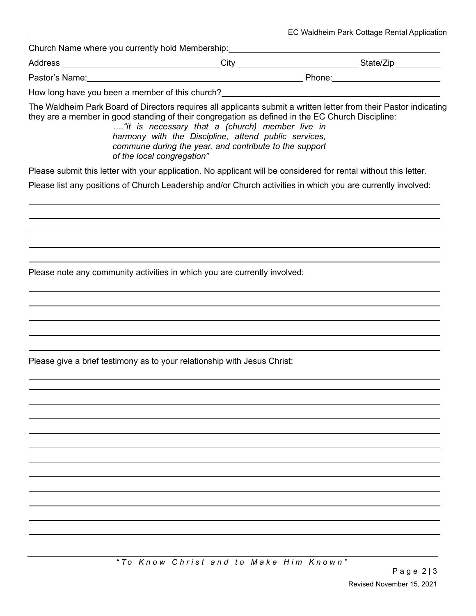| EC Waldheim Park Cottage Rental Application |  |
|---------------------------------------------|--|
|---------------------------------------------|--|

Church Name where you currently hold Membership:

Address City State/Zip

Pastor's Name: The Contract of the Contract of the Phone: Phone: Phone: Phone: Phone: Phone: Phone: Phone: Phone: Phone: Phone: Phone: Phone: Phone: Phone: Phone: Phone: Phone: Phone: Phone: Phone: Phone: Phone: Phone: Pho

How long have you been a member of this church?

The Waldheim Park Board of Directors requires all applicants submit a written letter from their Pastor indicating they are a member in good standing of their congregation as defined in the EC Church Discipline:

*…."it is necessary that a (church) member live in harmony with the Discipline, attend public services, commune during the year, and contribute to the support of the local congregation"*

Please submit this letter with your application. No applicant will be considered for rental without this letter.

Please list any positions of Church Leadership and/or Church activities in which you are currently involved:

Please note any community activities in which you are currently involved:

Please give a brief testimony as to your relationship with Jesus Christ: